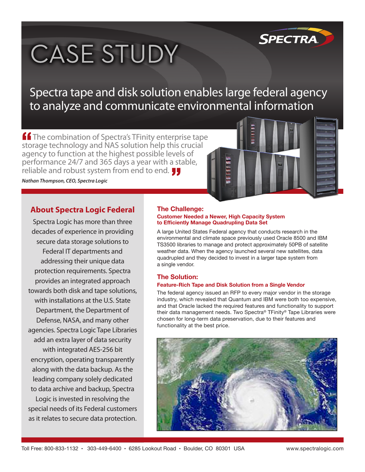

# **CASE STUDY**

Spectra tape and disk solution enables large federal agency to analyze and communicate environmental information

**ff** The combination of Spectra's TFinity enterprise tape storage technology and NAS solution help this crucial agency to function at the highest possible levels of performance 24/7 and 365 days a year with a stable, reliable and robust system from end to end.

*Nathan Thompson, CEO, Spectra Logic*



Spectra Logic has more than three decades of experience in providing secure data storage solutions to Federal IT departments and addressing their unique data protection requirements. Spectra provides an integrated approach towards both disk and tape solutions, with installations at the U.S. State Department, the Department of Defense, NASA, and many other agencies. Spectra Logic Tape Libraries add an extra layer of data security with integrated AES-256 bit encryption, operating transparently along with the data backup. As the leading company solely dedicated to data archive and backup, Spectra Logic is invested in resolving the special needs of its Federal customers as it relates to secure data protection.

### **The Challenge:**

#### **Customer Needed a Newer, High Capacity System to Efficiently Manage Quadrupling Data Set**

A large United States Federal agency that conducts research in the environmental and climate space previously used Oracle 8500 and IBM TS3500 libraries to manage and protect approximately 50PB of satellite weather data. When the agency launched several new satellites, data quadrupled and they decided to invest in a larger tape system from a single vendor.

### **The Solution:**

### **Feature-Rich Tape and Disk Solution from a Single Vendor**

The federal agency issued an RFP to every major vendor in the storage industry, which revealed that Quantum and IBM were both too expensive, and that Oracle lacked the required features and functionality to support their data management needs. Two Spectra® TFinity® Tape Libraries were chosen for long-term data preservation, due to their features and functionality at the best price.